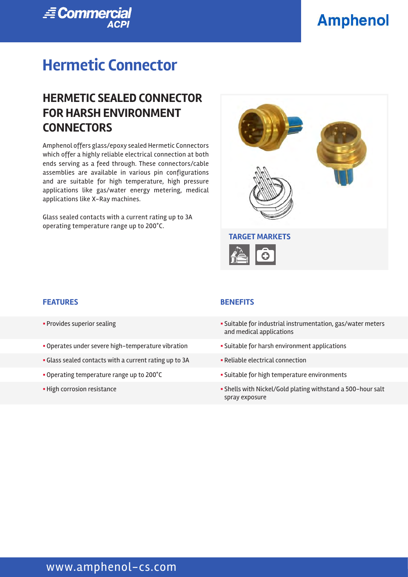# **Amphenol**



# **Hermetic Connector**

## **HERMETIC SEALED CONNECTOR FOR HARSH ENVIRONMENT CONNECTORS**

Amphenol offers glass/epoxy sealed Hermetic Connectors which offer a highly reliable electrical connection at both ends serving as a feed through. These connectors/cable assemblies are available in various pin configurations and are suitable for high temperature, high pressure applications like gas/water energy metering, medical applications like X-Ray machines.

Glass sealed contacts with a current rating up to 3A operating temperature range up to 200°C.



#### **FEATURES BENEFITS**

- 
- Operates under severe high-temperature vibration **•** Suitable for harsh environment applications
- Glass sealed contacts with a current rating up to 3A **••** Reliable electrical connection
- 
- 

- § Provides superior sealing § Suitable for industrial instrumentation, gas/water meters and medical applications
	-
	-
- Operating temperature range up to 200°C **Example 2018** Suitable for high temperature environments
- § High corrosion resistance § Shells with Nickel/Gold plating withstand a 500-hour salt spray exposure